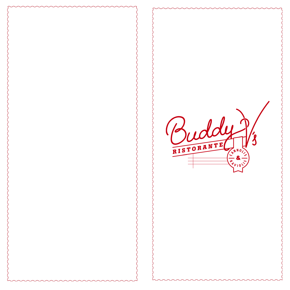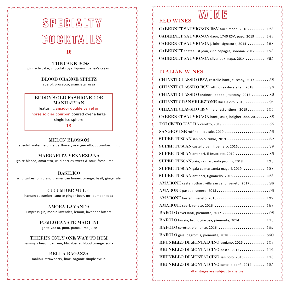# SPEGIALTY GOGKTAILS

#### 16

 THE CAKE BOSS pinnacle cake, chocolat royal liqueur, bailey's cream

#### BLOOD ORANGE SPRITZ

aperol, prosecco, aranciata rossa

#### BUDDY'S OLD FASHIONED OR MANHATTAN

featuring amador double barrel or horse soldier bourbon poured over a large single ice sphere

18

MELON BLOSSOM absolut watermelon, elderflower, orange-cello, cucumber, mint

MARGARITA VENNEZIANA

Ignite blanco, amaretto, wild berries sweet & sour, fresh lime

#### BASILICO

wild turkey longbranch, american honey, orange, basil, ginger ale

 CUCUMBER MULE hanson cucumber, source ginger beer, mr. qumber soda

AMORA LAVANDA Empress gin, monin lavender, lemon, lavender bitters

> POMEGRANATE MARTINI Ignite vodka, pom, pama, lime juice

THERE'S ONLY ONE WAY TO RUM sammy's beach bar rum, blackberry, blood orange, soda

BELLA RAGAZZA

malibu, strawberry, lime, organic simple syrup

# WUME

CABERNET SAUVIGNON RSV san simeon, 2018......... 123 CABERNET SAUVIGNON daou, 1740 RSV, paso, 2019 ..... 148 CABERNET SAUVIGNON j. lohr, signature, 2014 ......... 168 CABERNET chateau st jean, cinq cepages, sonoma, 2017 ..... 198 CABERNET SAUVIGNON silver oak, napa, 2014 .......... 325

#### ITALIAN WINES

RED WINES

| CHIANTI CLASSICO RSV, castello banfi, tuscany, 2017  58 |
|---------------------------------------------------------|
| CHIANTI CLASSICO RSV ruffino rsv ducale tan, 2018  78   |
| CHIANTI CLASSICO antinori, peppoli, tuscany, 2015  82   |
| CHIANTI GRAN SELEZIONE ducale oro, 2016  94             |
| CHIANTI CLASSICO RSV marchesi antinori, 2019 105        |
| CABERNET SAUVIGNON banfi, aska, bolgheri doc, 2017 88   |
|                                                         |
| SANGIOVESE ruffino, il ducale, 2019  58                 |
|                                                         |
| SUPER TUSCAN castello banfi, belnero, 2016 79           |
| SUPER TUSCAN antinori, il brucciato, 2019  89           |
| SUPER TUSCAN gaia, ca marcanda promis, 2018  138        |
| SUPER TUSCAN gaia ca marcanda magari, 2019  188         |
| SUPER TUSCAN antinori, tignanello, 2018  428            |
| AMARONE castel rothari, villa san zeno, veneto, 2017 98 |
|                                                         |
| AMARONE bertani, veneto, 2016 132                       |
| AMARONE speri, veneto, 2016  168                        |
| BAROLO reversanti, piemonte, 2017  98                   |
| BAROLO bussia, bruno giacosa, piemonte, 2014 148        |
| BAROLO ceretto, piemonte, 2016  152                     |
| BAROLO gaia, dagromis, piemonte, 2018  350              |
| BRUNELLO DI MONTALCINO uggiano, 2016  108               |
| BRUNELLO DI MONTALCINO bosco, 2015 112                  |
| BRUNELLO DI MONTALCINO san polo, 2016 148               |
| BRUNELLO DI MONTALCINO castello banfi, 2014  185        |
| all vintages are subject to change                      |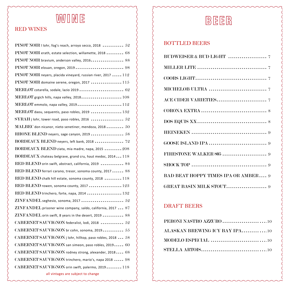# WONE

## RED WINES

| PINOT NOIR I lohr, fog's reach, arroyo secco, 2018 $52$          |
|------------------------------------------------------------------|
| PINOT NOIR erath, estate selection, willamette, 2018  68         |
| PINOT NOIR bravium, anderson valley, 2016 88                     |
|                                                                  |
| PINOT NOIR neyers, placida vineyard, russian river, 2017  112    |
| $PINOT NOIR$ domaine serene, oregon, 2017  115                   |
| MERLOT cotarella, sodale, lazio 2019  62                         |
| MERLOT grgich hills, napa valley, 2018 108                       |
| MERLOT emmolo, napa valley, 2019 112                             |
| MERLOT daou, sequentis, paso robles, 2019  132                   |
| $\text{SYRAH}$ j lohr, tower road, paso robles, 2016  52         |
| $\text{MALBEC}$ don nicanor, nieto senetiner, mendoza, 2018 $50$ |
|                                                                  |
| BORDEAUX BLEND neyers, left bank, 2018  72                       |
| BORDEAUX BLEND ziata, mia madre, napa, 2015  208                 |
| BORDEAUX chateau belgrave, grand cru, haut medoc, 2014 118       |
| RED BLEND orin swift, abstract, california, 2019  84             |
| RED BLEND ferrari carano, tresor, sonoma county, 2017  88        |
| RED BLEND chalk hill estate, sonoma county, 2018  118            |
| RED BLEND rowen, sonoma county, 2017  123                        |
| RED BLEND trinchero, forte, napa, 2014  132                      |
|                                                                  |
| $ZINFANDEL$ prisoner wine company, saldo, california, 2017 $87$  |
| $ZINFANDEL$ orin swift, 8 years in the desert, 2019  88          |
| CABERNET SAUVIGNON federalist, lodi, 2018  52                    |
| CABERNET SAUVIGNON br cohn, sonoma, 2019 $55$                    |
| CABERNET SAUVIGNON j lohr, hilltop, paso robles, 2018  58        |
| CABERNET SAUVIGNON san simeon, paso robles, 2019 60              |
| CABERNET SAUVIGNON rodney strong, alexander, 2018 68             |
| CABERNET SAUVIGNON trinchero, mario's, napa 2018  98             |
| CABERNET SAUVIGNON orin swift, palermo, 2019 118                 |
| all vintages are subject to change                               |

# BEER

### BOTTLED BEERS

| <b>BAD BEAT HOPPY TIMES IPA OR AMBER 9</b> |
|--------------------------------------------|
| <b>GREAT BASIN MILK STOUT</b> 9            |

### DRAFT BEERS

| PERONI NASTRO AZZURO 10       |
|-------------------------------|
| ALASKAN BREWING ICY BAY IPA10 |
|                               |
|                               |